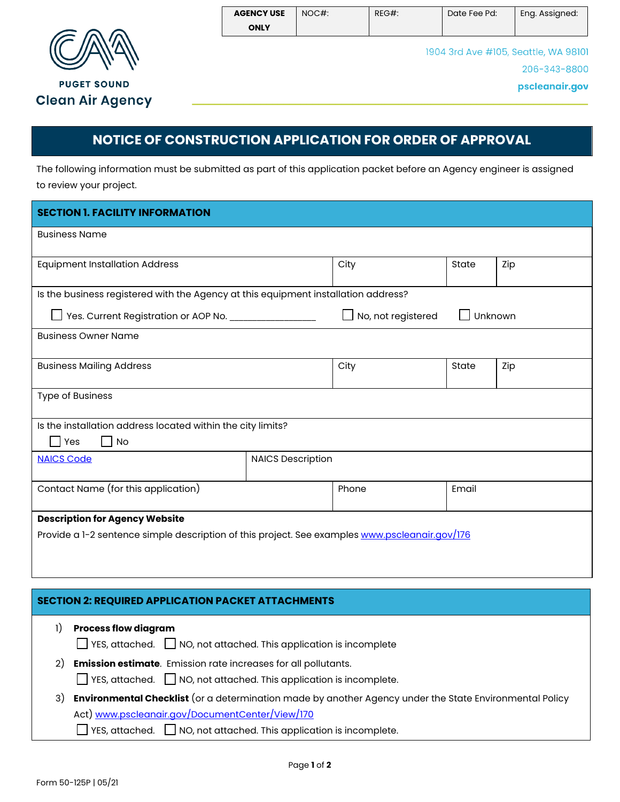

## **NOTICE OF CONSTRUCTION APPLICATION FOR ORDER OF APPROVAL**

The following information must be submitted as part of this application packet before an Agency engineer is assigned to review your project.

| <b>SECTION 1. FACILITY INFORMATION</b>                                                          |                          |                           |         |     |  |  |
|-------------------------------------------------------------------------------------------------|--------------------------|---------------------------|---------|-----|--|--|
| <b>Business Name</b>                                                                            |                          |                           |         |     |  |  |
| <b>Equipment Installation Address</b>                                                           |                          | City                      | State   | Zip |  |  |
| Is the business registered with the Agency at this equipment installation address?              |                          |                           |         |     |  |  |
| Yes. Current Registration or AOP No. _________________                                          |                          | $\Box$ No, not registered | Unknown |     |  |  |
| <b>Business Owner Name</b>                                                                      |                          |                           |         |     |  |  |
| <b>Business Mailing Address</b>                                                                 |                          | City                      | State   | Zip |  |  |
| <b>Type of Business</b>                                                                         |                          |                           |         |     |  |  |
| Is the installation address located within the city limits?<br>$\Box$ Yes<br>$\vert$ $\vert$ No |                          |                           |         |     |  |  |
| <b>NAICS Code</b>                                                                               | <b>NAICS Description</b> |                           |         |     |  |  |
| Contact Name (for this application)                                                             |                          | Phone                     | Email   |     |  |  |
| <b>Description for Agency Website</b>                                                           |                          |                           |         |     |  |  |
| Provide a 1-2 sentence simple description of this project. See examples www.pscleanair.gov/176  |                          |                           |         |     |  |  |
|                                                                                                 |                          |                           |         |     |  |  |
|                                                                                                 |                          |                           |         |     |  |  |

## **SECTION 2: REQUIRED APPLICATION PACKET ATTACHMENTS**

- 1) **Process flow diagram** 
	- $\Box$  YES, attached.  $\Box$  NO, not attached. This application is incomplete
- 2) **Emission estimate**. Emission rate increases for all pollutants.
	- YES, attached. NO, not attached. This application is incomplete.
- 3) **Environmental Checklist** (or a determination made by another Agency under the State Environmental Policy Act) [www.pscleanair.gov/DocumentCenter/View/170](http://www.pscleanair.gov/DocumentCenter/View/170)
	- $\Box$  YES, attached.  $\Box$  NO, not attached. This application is incomplete.